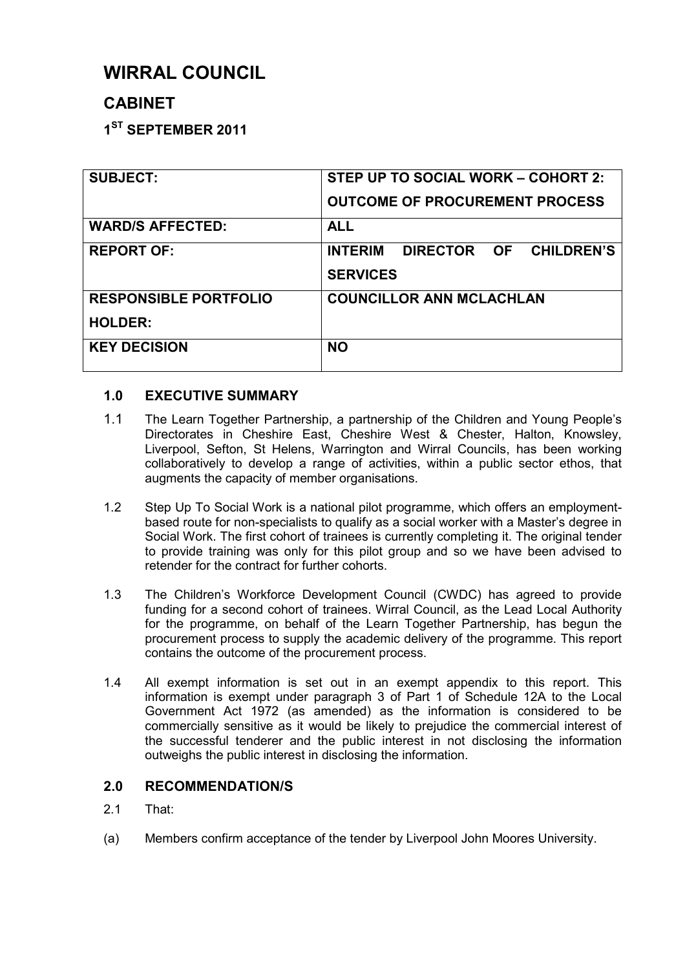# **WIRRAL COUNCIL**

# **CABINET**

**1 ST SEPTEMBER 2011** 

| <b>SUBJECT:</b>              | STEP UP TO SOCIAL WORK - COHORT 2:       |  |  |
|------------------------------|------------------------------------------|--|--|
|                              | <b>OUTCOME OF PROCUREMENT PROCESS</b>    |  |  |
| <b>WARD/S AFFECTED:</b>      | <b>ALL</b>                               |  |  |
| <b>REPORT OF:</b>            | DIRECTOR OF CHILDREN'S<br><b>INTERIM</b> |  |  |
|                              | <b>SERVICES</b>                          |  |  |
| <b>RESPONSIBLE PORTFOLIO</b> | <b>COUNCILLOR ANN MCLACHLAN</b>          |  |  |
| <b>HOLDER:</b>               |                                          |  |  |
| <b>KEY DECISION</b>          | <b>NO</b>                                |  |  |
|                              |                                          |  |  |

## **1.0 EXECUTIVE SUMMARY**

- 1.1 The Learn Together Partnership, a partnership of the Children and Young People's Directorates in Cheshire East, Cheshire West & Chester, Halton, Knowsley, Liverpool, Sefton, St Helens, Warrington and Wirral Councils, has been working collaboratively to develop a range of activities, within a public sector ethos, that augments the capacity of member organisations.
- 1.2 Step Up To Social Work is a national pilot programme, which offers an employmentbased route for non-specialists to qualify as a social worker with a Master's degree in Social Work. The first cohort of trainees is currently completing it. The original tender to provide training was only for this pilot group and so we have been advised to retender for the contract for further cohorts.
- 1.3 The Children's Workforce Development Council (CWDC) has agreed to provide funding for a second cohort of trainees. Wirral Council, as the Lead Local Authority for the programme, on behalf of the Learn Together Partnership, has begun the procurement process to supply the academic delivery of the programme. This report contains the outcome of the procurement process.
- 1.4 All exempt information is set out in an exempt appendix to this report. This information is exempt under paragraph 3 of Part 1 of Schedule 12A to the Local Government Act 1972 (as amended) as the information is considered to be commercially sensitive as it would be likely to prejudice the commercial interest of the successful tenderer and the public interest in not disclosing the information outweighs the public interest in disclosing the information.

## **2.0 RECOMMENDATION/S**

- 2.1 That:
- (a) Members confirm acceptance of the tender by Liverpool John Moores University.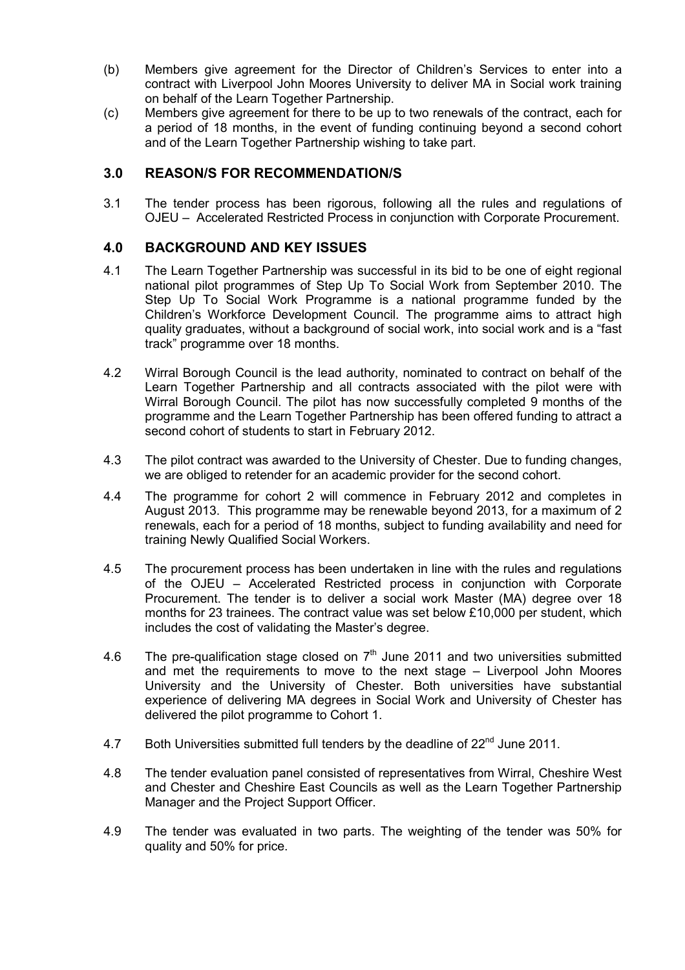- (b) Members give agreement for the Director of Children's Services to enter into a contract with Liverpool John Moores University to deliver MA in Social work training on behalf of the Learn Together Partnership.
- (c) Members give agreement for there to be up to two renewals of the contract, each for a period of 18 months, in the event of funding continuing beyond a second cohort and of the Learn Together Partnership wishing to take part.

#### **3.0 REASON/S FOR RECOMMENDATION/S**

3.1 The tender process has been rigorous, following all the rules and regulations of OJEU – Accelerated Restricted Process in conjunction with Corporate Procurement.

#### **4.0 BACKGROUND AND KEY ISSUES**

- 4.1 The Learn Together Partnership was successful in its bid to be one of eight regional national pilot programmes of Step Up To Social Work from September 2010. The Step Up To Social Work Programme is a national programme funded by the Children's Workforce Development Council. The programme aims to attract high quality graduates, without a background of social work, into social work and is a "fast track" programme over 18 months.
- 4.2 Wirral Borough Council is the lead authority, nominated to contract on behalf of the Learn Together Partnership and all contracts associated with the pilot were with Wirral Borough Council. The pilot has now successfully completed 9 months of the programme and the Learn Together Partnership has been offered funding to attract a second cohort of students to start in February 2012.
- 4.3 The pilot contract was awarded to the University of Chester. Due to funding changes, we are obliged to retender for an academic provider for the second cohort.
- 4.4 The programme for cohort 2 will commence in February 2012 and completes in August 2013. This programme may be renewable beyond 2013, for a maximum of 2 renewals, each for a period of 18 months, subject to funding availability and need for training Newly Qualified Social Workers.
- 4.5 The procurement process has been undertaken in line with the rules and regulations of the OJEU – Accelerated Restricted process in conjunction with Corporate Procurement. The tender is to deliver a social work Master (MA) degree over 18 months for 23 trainees. The contract value was set below £10,000 per student, which includes the cost of validating the Master's degree.
- 4.6 The pre-qualification stage closed on  $7<sup>th</sup>$  June 2011 and two universities submitted and met the requirements to move to the next stage – Liverpool John Moores University and the University of Chester. Both universities have substantial experience of delivering MA degrees in Social Work and University of Chester has delivered the pilot programme to Cohort 1.
- 4.7 Both Universities submitted full tenders by the deadline of  $22<sup>nd</sup>$  June 2011.
- 4.8 The tender evaluation panel consisted of representatives from Wirral, Cheshire West and Chester and Cheshire East Councils as well as the Learn Together Partnership Manager and the Project Support Officer.
- 4.9 The tender was evaluated in two parts. The weighting of the tender was 50% for quality and 50% for price.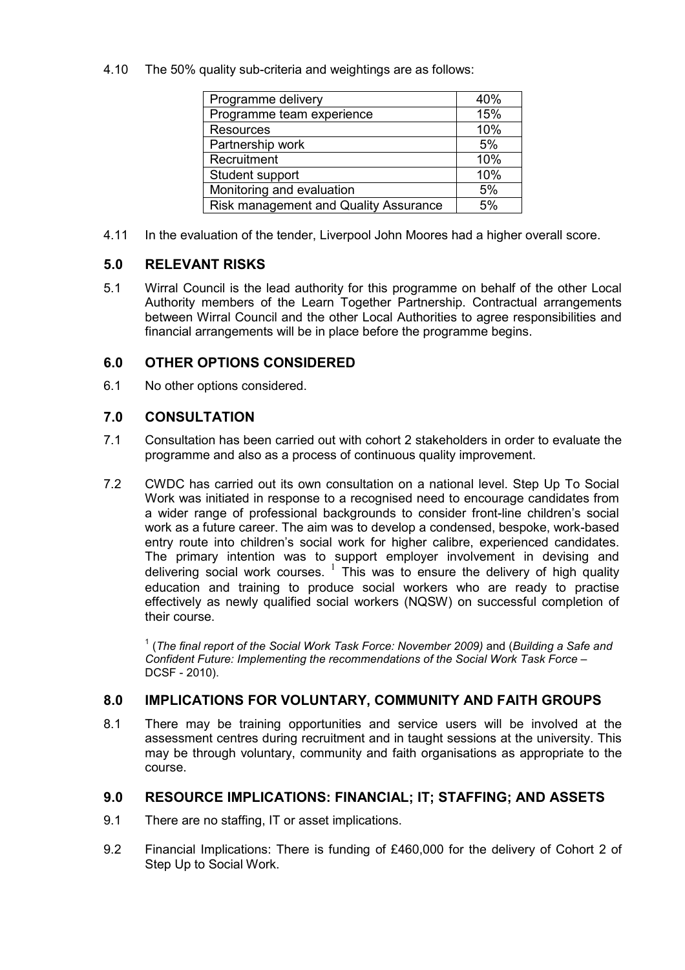4.10 The 50% quality sub-criteria and weightings are as follows:

| Programme delivery                    | 40% |
|---------------------------------------|-----|
| Programme team experience             | 15% |
| <b>Resources</b>                      | 10% |
| Partnership work                      | 5%  |
| Recruitment                           | 10% |
| Student support                       | 10% |
| Monitoring and evaluation             | 5%  |
| Risk management and Quality Assurance | 5%  |
|                                       |     |

4.11 In the evaluation of the tender, Liverpool John Moores had a higher overall score.

#### **5.0 RELEVANT RISKS**

5.1 Wirral Council is the lead authority for this programme on behalf of the other Local Authority members of the Learn Together Partnership. Contractual arrangements between Wirral Council and the other Local Authorities to agree responsibilities and financial arrangements will be in place before the programme begins.

#### **6.0 OTHER OPTIONS CONSIDERED**

6.1 No other options considered.

#### **7.0 CONSULTATION**

- 7.1 Consultation has been carried out with cohort 2 stakeholders in order to evaluate the programme and also as a process of continuous quality improvement.
- 7.2 CWDC has carried out its own consultation on a national level. Step Up To Social Work was initiated in response to a recognised need to encourage candidates from a wider range of professional backgrounds to consider front-line children's social work as a future career. The aim was to develop a condensed, bespoke, work-based entry route into children's social work for higher calibre, experienced candidates. The primary intention was to support employer involvement in devising and delivering social work courses. <sup>1</sup> This was to ensure the delivery of high quality education and training to produce social workers who are ready to practise effectively as newly qualified social workers (NQSW) on successful completion of their course.

<sup>1</sup> (The final report of the Social Work Task Force: November 2009) and (Building a Safe and *Confident Future: Implementing the recommendations of the Social Work Task Force* – DCSF - 2010).

#### **8.0 IMPLICATIONS FOR VOLUNTARY, COMMUNITY AND FAITH GROUPS**

8.1 There may be training opportunities and service users will be involved at the assessment centres during recruitment and in taught sessions at the university. This may be through voluntary, community and faith organisations as appropriate to the course.

#### **9.0 RESOURCE IMPLICATIONS: FINANCIAL; IT; STAFFING; AND ASSETS**

- 9.1 There are no staffing, IT or asset implications.
- 9.2 Financial Implications: There is funding of £460,000 for the delivery of Cohort 2 of Step Up to Social Work.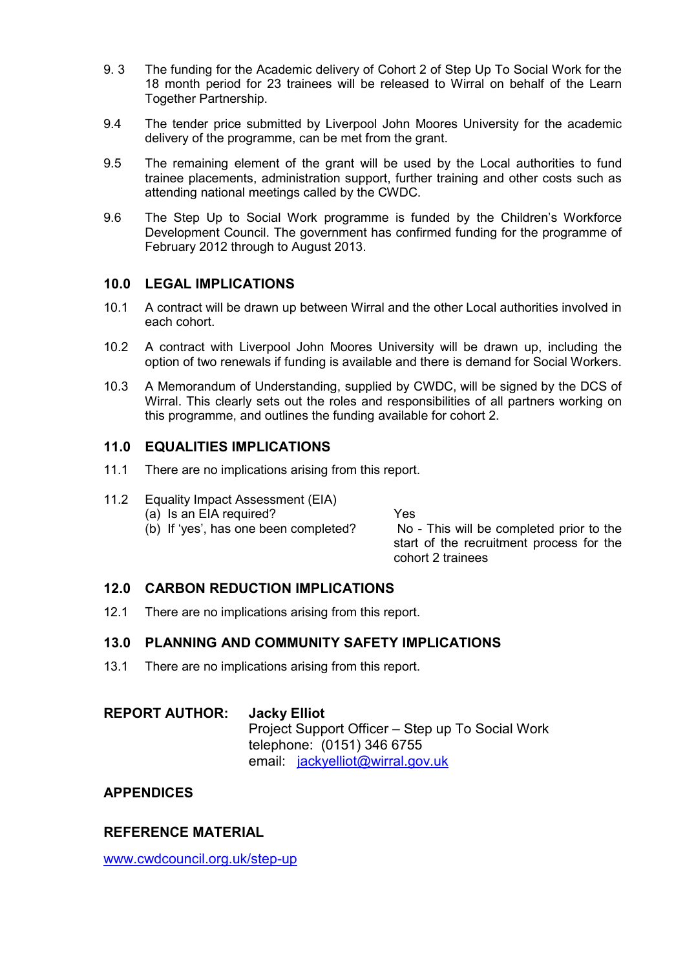- 9. 3 The funding for the Academic delivery of Cohort 2 of Step Up To Social Work for the 18 month period for 23 trainees will be released to Wirral on behalf of the Learn Together Partnership.
- 9.4 The tender price submitted by Liverpool John Moores University for the academic delivery of the programme, can be met from the grant.
- 9.5 The remaining element of the grant will be used by the Local authorities to fund trainee placements, administration support, further training and other costs such as attending national meetings called by the CWDC.
- 9.6 The Step Up to Social Work programme is funded by the Children's Workforce Development Council. The government has confirmed funding for the programme of February 2012 through to August 2013.

#### **10.0 LEGAL IMPLICATIONS**

- 10.1 A contract will be drawn up between Wirral and the other Local authorities involved in each cohort.
- 10.2 A contract with Liverpool John Moores University will be drawn up, including the option of two renewals if funding is available and there is demand for Social Workers.
- 10.3 A Memorandum of Understanding, supplied by CWDC, will be signed by the DCS of Wirral. This clearly sets out the roles and responsibilities of all partners working on this programme, and outlines the funding available for cohort 2.

#### **11.0 EQUALITIES IMPLICATIONS**

- 11.1 There are no implications arising from this report.
- 11.2 Equality Impact Assessment (EIA)
	- (a) Is an EIA required? Yes

 (b) If 'yes', has one been completed? No - This will be completed prior to the start of the recruitment process for the cohort 2 trainees

#### **12.0 CARBON REDUCTION IMPLICATIONS**

12.1 There are no implications arising from this report.

#### **13.0 PLANNING AND COMMUNITY SAFETY IMPLICATIONS**

13.1 There are no implications arising from this report.

## **REPORT AUTHOR: Jacky Elliot** Project Support Officer – Step up To Social Work telephone: (0151) 346 6755 email: jackyelliot@wirral.gov.uk

#### **APPENDICES**

#### **REFERENCE MATERIAL**

www.cwdcouncil.org.uk/step-up